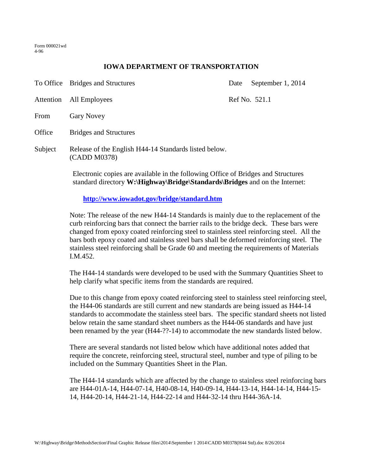Form 000021wd 4-96

## **IOWA DEPARTMENT OF TRANSPORTATION**

|                                            | To Office Bridges and Structures                                                                                                                                         | Date          | September 1, 2014 |
|--------------------------------------------|--------------------------------------------------------------------------------------------------------------------------------------------------------------------------|---------------|-------------------|
| Attention                                  | All Employees                                                                                                                                                            | Ref No. 521.1 |                   |
| From                                       | <b>Gary Novey</b>                                                                                                                                                        |               |                   |
| Office                                     | <b>Bridges and Structures</b>                                                                                                                                            |               |                   |
| Subject                                    | Release of the English H44-14 Standards listed below.<br>(CADD M0378)                                                                                                    |               |                   |
|                                            | Electronic copies are available in the following Office of Bridges and Structures<br>standard directory <b>W</b> : Highway Bridge Standards Bridges and on the Internet: |               |                   |
| http://www.iowadot.gov/bridge/standard.htm |                                                                                                                                                                          |               |                   |

Note: The release of the new H44-14 Standards is mainly due to the replacement of the curb reinforcing bars that connect the barrier rails to the bridge deck. These bars were changed from epoxy coated reinforcing steel to stainless steel reinforcing steel. All the bars both epoxy coated and stainless steel bars shall be deformed reinforcing steel. The stainless steel reinforcing shall be Grade 60 and meeting the requirements of Materials I.M.452.

The H44-14 standards were developed to be used with the Summary Quantities Sheet to help clarify what specific items from the standards are required.

Due to this change from epoxy coated reinforcing steel to stainless steel reinforcing steel, the H44-06 standards are still current and new standards are being issued as H44-14 standards to accommodate the stainless steel bars. The specific standard sheets not listed below retain the same standard sheet numbers as the H44-06 standards and have just been renamed by the year (H44-??-14) to accommodate the new standards listed below.

There are several standards not listed below which have additional notes added that require the concrete, reinforcing steel, structural steel, number and type of piling to be included on the Summary Quantities Sheet in the Plan.

The H44-14 standards which are affected by the change to stainless steel reinforcing bars are H44-01A-14, H44-07-14, H40-08-14, H40-09-14, H44-13-14, H44-14-14, H44-15- 14, H44-20-14, H44-21-14, H44-22-14 and H44-32-14 thru H44-36A-14.